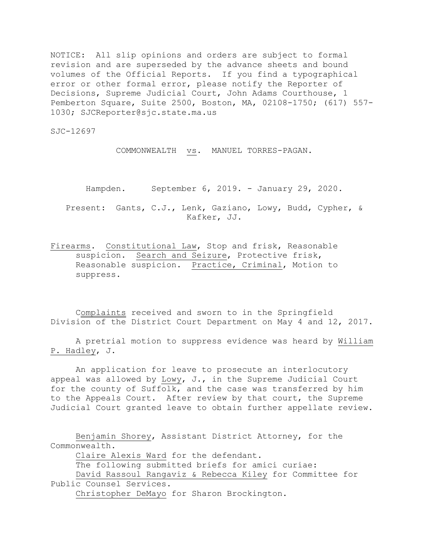NOTICE: All slip opinions and orders are subject to formal revision and are superseded by the advance sheets and bound volumes of the Official Reports. If you find a typographical error or other formal error, please notify the Reporter of Decisions, Supreme Judicial Court, John Adams Courthouse, 1 Pemberton Square, Suite 2500, Boston, MA, 02108-1750; (617) 557- 1030; SJCReporter@sjc.state.ma.us

SJC-12697

COMMONWEALTH vs. MANUEL TORRES-PAGAN.

Hampden. September 6, 2019. - January 29, 2020.

Present: Gants, C.J., Lenk, Gaziano, Lowy, Budd, Cypher, & Kafker, JJ.

Firearms. Constitutional Law, Stop and frisk, Reasonable suspicion. Search and Seizure, Protective frisk, Reasonable suspicion. Practice, Criminal, Motion to suppress.

Complaints received and sworn to in the Springfield Division of the District Court Department on May 4 and 12, 2017.

A pretrial motion to suppress evidence was heard by William P. Hadley, J.

An application for leave to prosecute an interlocutory appeal was allowed by Lowy, J., in the Supreme Judicial Court for the county of Suffolk, and the case was transferred by him to the Appeals Court. After review by that court, the Supreme Judicial Court granted leave to obtain further appellate review.

Benjamin Shorey, Assistant District Attorney, for the Commonwealth.

Claire Alexis Ward for the defendant.

The following submitted briefs for amici curiae:

David Rassoul Rangaviz & Rebecca Kiley for Committee for Public Counsel Services.

Christopher DeMayo for Sharon Brockington.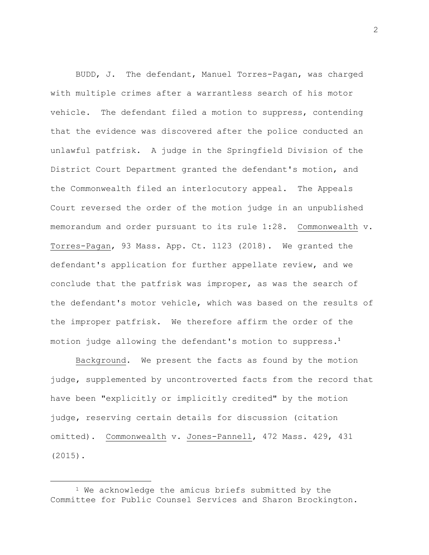BUDD, J. The defendant, Manuel Torres-Pagan, was charged with multiple crimes after a warrantless search of his motor vehicle. The defendant filed a motion to suppress, contending that the evidence was discovered after the police conducted an unlawful patfrisk. A judge in the Springfield Division of the District Court Department granted the defendant's motion, and the Commonwealth filed an interlocutory appeal. The Appeals Court reversed the order of the motion judge in an unpublished memorandum and order pursuant to its rule 1:28. Commonwealth v. Torres-Pagan, 93 Mass. App. Ct. 1123 (2018). We granted the defendant's application for further appellate review, and we conclude that the patfrisk was improper, as was the search of the defendant's motor vehicle, which was based on the results of the improper patfrisk. We therefore affirm the order of the motion judge allowing the defendant's motion to suppress.<sup>1</sup>

Background. We present the facts as found by the motion judge, supplemented by uncontroverted facts from the record that have been "explicitly or implicitly credited" by the motion judge, reserving certain details for discussion (citation omitted). Commonwealth v. Jones-Pannell, 472 Mass. 429, 431 (2015).

<sup>&</sup>lt;sup>1</sup> We acknowledge the amicus briefs submitted by the Committee for Public Counsel Services and Sharon Brockington.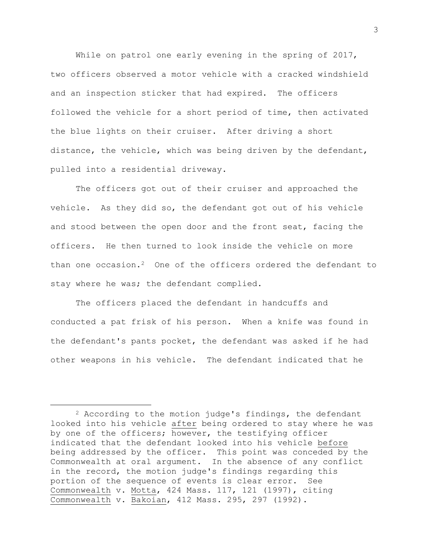While on patrol one early evening in the spring of 2017, two officers observed a motor vehicle with a cracked windshield and an inspection sticker that had expired. The officers followed the vehicle for a short period of time, then activated the blue lights on their cruiser. After driving a short distance, the vehicle, which was being driven by the defendant, pulled into a residential driveway.

The officers got out of their cruiser and approached the vehicle. As they did so, the defendant got out of his vehicle and stood between the open door and the front seat, facing the officers. He then turned to look inside the vehicle on more than one occasion.<sup>2</sup> One of the officers ordered the defendant to stay where he was; the defendant complied.

The officers placed the defendant in handcuffs and conducted a pat frisk of his person. When a knife was found in the defendant's pants pocket, the defendant was asked if he had other weapons in his vehicle. The defendant indicated that he

<sup>2</sup> According to the motion judge's findings, the defendant looked into his vehicle after being ordered to stay where he was by one of the officers; however, the testifying officer indicated that the defendant looked into his vehicle before being addressed by the officer**.** This point was conceded by the Commonwealth at oral argument. In the absence of any conflict in the record, the motion judge's findings regarding this portion of the sequence of events is clear error. See Commonwealth v. Motta, 424 Mass. 117, 121 (1997), citing Commonwealth v. Bakoian, 412 Mass. 295, 297 (1992).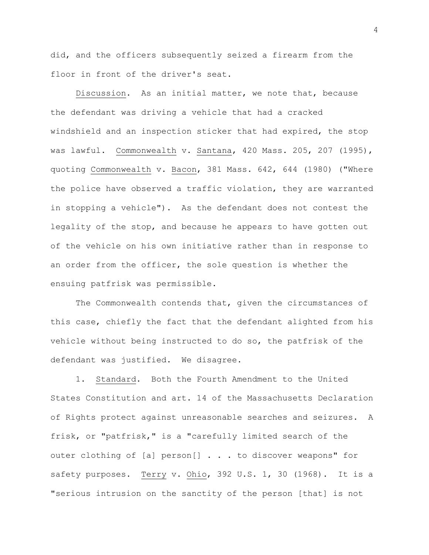did, and the officers subsequently seized a firearm from the floor in front of the driver's seat.

Discussion. As an initial matter, we note that, because the defendant was driving a vehicle that had a cracked windshield and an inspection sticker that had expired, the stop was lawful. Commonwealth v. Santana, 420 Mass. 205, 207 (1995), quoting Commonwealth v. Bacon, 381 Mass. 642, 644 (1980) ("Where the police have observed a traffic violation, they are warranted in stopping a vehicle"). As the defendant does not contest the legality of the stop, and because he appears to have gotten out of the vehicle on his own initiative rather than in response to an order from the officer, the sole question is whether the ensuing patfrisk was permissible.

The Commonwealth contends that, given the circumstances of this case, chiefly the fact that the defendant alighted from his vehicle without being instructed to do so, the patfrisk of the defendant was justified. We disagree.

1. Standard. Both the Fourth Amendment to the United States Constitution and art. 14 of the Massachusetts Declaration of Rights protect against unreasonable searches and seizures. A frisk, or "patfrisk," is a "carefully limited search of the outer clothing of [a] person[] . . . to discover weapons" for safety purposes. Terry v. Ohio, 392 U.S. 1, 30 (1968). It is a "serious intrusion on the sanctity of the person [that] is not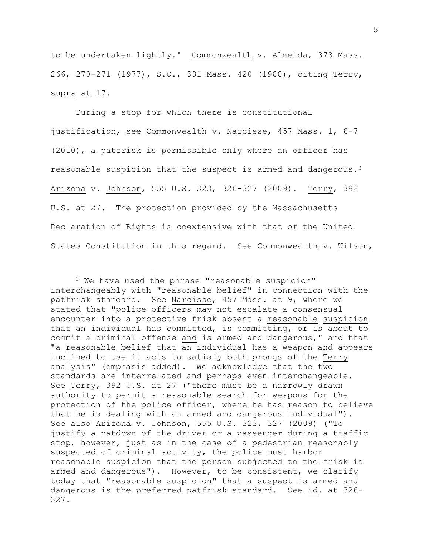to be undertaken lightly." Commonwealth v. Almeida, 373 Mass. 266, 270-271 (1977), S.C., 381 Mass. 420 (1980), citing Terry, supra at 17.

During a stop for which there is constitutional justification, see Commonwealth v. Narcisse, 457 Mass. 1, 6-7 (2010), a patfrisk is permissible only where an officer has reasonable suspicion that the suspect is armed and dangerous.<sup>3</sup> Arizona v. Johnson, 555 U.S. 323, 326-327 (2009). Terry, 392 U.S. at 27. The protection provided by the Massachusetts Declaration of Rights is coextensive with that of the United States Constitution in this regard. See Commonwealth v. Wilson,

<sup>3</sup> We have used the phrase "reasonable suspicion" interchangeably with "reasonable belief" in connection with the patfrisk standard. See Narcisse, 457 Mass. at 9, where we stated that "police officers may not escalate a consensual encounter into a protective frisk absent a reasonable suspicion that an individual has committed, is committing, or is about to commit a criminal offense and is armed and dangerous," and that "a reasonable belief that an individual has a weapon and appears inclined to use it acts to satisfy both prongs of the Terry analysis" (emphasis added). We acknowledge that the two standards are interrelated and perhaps even interchangeable. See Terry, 392 U.S. at 27 ("there must be a narrowly drawn authority to permit a reasonable search for weapons for the protection of the police officer, where he has reason to believe that he is dealing with an armed and dangerous individual"). See also Arizona v. Johnson, 555 U.S. 323, 327 (2009) ("To justify a patdown of the driver or a passenger during a traffic stop, however, just as in the case of a pedestrian reasonably suspected of criminal activity, the police must harbor reasonable suspicion that the person subjected to the frisk is armed and dangerous"). However, to be consistent, we clarify today that "reasonable suspicion" that a suspect is armed and dangerous is the preferred patfrisk standard. See id. at 326- 327.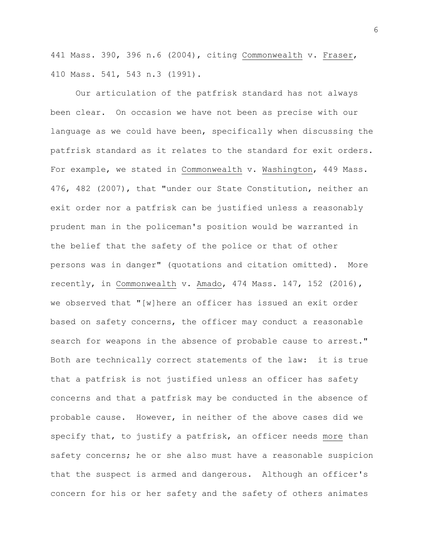441 Mass. 390, 396 n.6 (2004), citing Commonwealth v. Fraser, 410 Mass. 541, 543 n.3 (1991).

Our articulation of the patfrisk standard has not always been clear. On occasion we have not been as precise with our language as we could have been, specifically when discussing the patfrisk standard as it relates to the standard for exit orders. For example, we stated in Commonwealth v. Washington, 449 Mass. 476, 482 (2007), that "under our State Constitution, neither an exit order nor a patfrisk can be justified unless a reasonably prudent man in the policeman's position would be warranted in the belief that the safety of the police or that of other persons was in danger" (quotations and citation omitted). More recently, in Commonwealth v. Amado, 474 Mass. 147, 152 (2016), we observed that "[w]here an officer has issued an exit order based on safety concerns, the officer may conduct a reasonable search for weapons in the absence of probable cause to arrest." Both are technically correct statements of the law: it is true that a patfrisk is not justified unless an officer has safety concerns and that a patfrisk may be conducted in the absence of probable cause. However, in neither of the above cases did we specify that, to justify a patfrisk, an officer needs more than safety concerns; he or she also must have a reasonable suspicion that the suspect is armed and dangerous. Although an officer's concern for his or her safety and the safety of others animates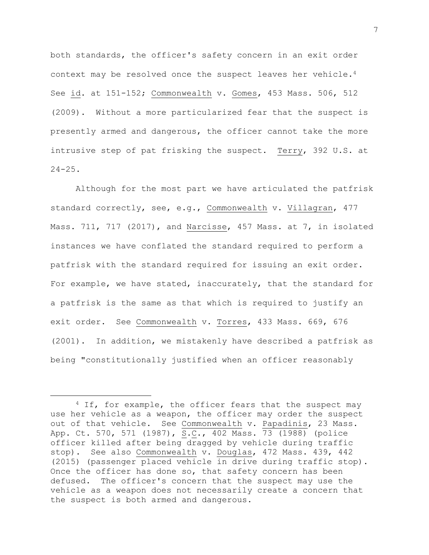both standards, the officer's safety concern in an exit order context may be resolved once the suspect leaves her vehicle.<sup>4</sup> See id. at 151-152; Commonwealth v. Gomes, 453 Mass. 506, 512 (2009). Without a more particularized fear that the suspect is presently armed and dangerous, the officer cannot take the more intrusive step of pat frisking the suspect. Terry, 392 U.S. at  $24 - 25$ .

Although for the most part we have articulated the patfrisk standard correctly, see, e.g., Commonwealth v. Villagran, 477 Mass. 711, 717 (2017), and Narcisse, 457 Mass. at 7, in isolated instances we have conflated the standard required to perform a patfrisk with the standard required for issuing an exit order. For example, we have stated, inaccurately, that the standard for a patfrisk is the same as that which is required to justify an exit order. See Commonwealth v. Torres, 433 Mass. 669, 676 (2001). In addition, we mistakenly have described a patfrisk as being "constitutionally justified when an officer reasonably

<sup>&</sup>lt;sup>4</sup> If, for example, the officer fears that the suspect may use her vehicle as a weapon, the officer may order the suspect out of that vehicle. See Commonwealth v. Papadinis, 23 Mass. App. Ct. 570, 571 (1987), S.C., 402 Mass. 73 (1988) (police officer killed after being dragged by vehicle during traffic stop). See also Commonwealth v. Douglas, 472 Mass. 439, 442 (2015) (passenger placed vehicle in drive during traffic stop). Once the officer has done so, that safety concern has been defused. The officer's concern that the suspect may use the vehicle as a weapon does not necessarily create a concern that the suspect is both armed and dangerous.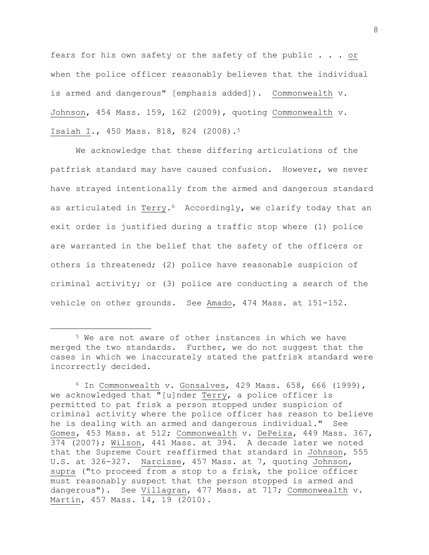fears for his own safety or the safety of the public . . . or when the police officer reasonably believes that the individual is armed and dangerous" [emphasis added]). Commonwealth v. Johnson, 454 Mass. 159, 162 (2009), quoting Commonwealth v. Isaiah I., 450 Mass. 818, 824 (2008).<sup>5</sup>

We acknowledge that these differing articulations of the patfrisk standard may have caused confusion. However, we never have strayed intentionally from the armed and dangerous standard as articulated in Terry.<sup>6</sup> Accordingly, we clarify today that an exit order is justified during a traffic stop where (1) police are warranted in the belief that the safety of the officers or others is threatened; (2) police have reasonable suspicion of criminal activity; or (3) police are conducting a search of the vehicle on other grounds. See Amado, 474 Mass. at 151-152.

L,

<sup>5</sup> We are not aware of other instances in which we have merged the two standards. Further, we do not suggest that the cases in which we inaccurately stated the patfrisk standard were incorrectly decided.

 $6$  In Commonwealth v. Gonsalves, 429 Mass. 658, 666 (1999), we acknowledged that "[u]nder Terry, a police officer is permitted to pat frisk a person stopped under suspicion of criminal activity where the police officer has reason to believe he is dealing with an armed and dangerous individual." See Gomes, 453 Mass. at 512; Commonwealth v. DePeiza, 449 Mass. 367, 374 (2007); Wilson, 441 Mass. at 394. A decade later we noted that the Supreme Court reaffirmed that standard in Johnson, 555 U.S. at 326-327. Narcisse, 457 Mass. at 7, quoting Johnson, supra ("to proceed from a stop to a frisk, the police officer must reasonably suspect that the person stopped is armed and dangerous"). See Villagran, 477 Mass. at 717; Commonwealth v. Martin, 457 Mass. 14, 19 (2010).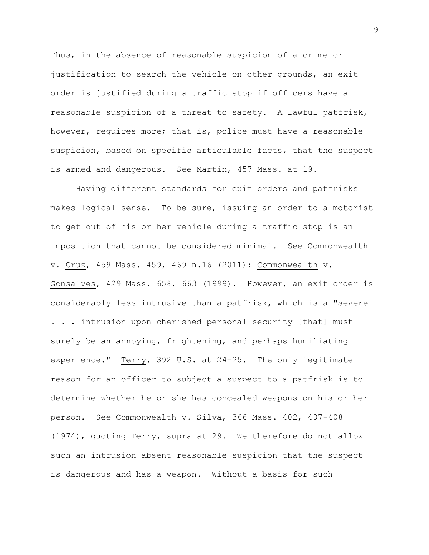Thus, in the absence of reasonable suspicion of a crime or justification to search the vehicle on other grounds, an exit order is justified during a traffic stop if officers have a reasonable suspicion of a threat to safety. A lawful patfrisk, however, requires more; that is, police must have a reasonable suspicion, based on specific articulable facts, that the suspect is armed and dangerous. See Martin, 457 Mass. at 19.

Having different standards for exit orders and patfrisks makes logical sense. To be sure, issuing an order to a motorist to get out of his or her vehicle during a traffic stop is an imposition that cannot be considered minimal. See Commonwealth v. Cruz, 459 Mass. 459, 469 n.16 (2011); Commonwealth v. Gonsalves, 429 Mass. 658, 663 (1999). However, an exit order is considerably less intrusive than a patfrisk, which is a "severe . . . intrusion upon cherished personal security [that] must surely be an annoying, frightening, and perhaps humiliating experience." Terry, 392 U.S. at 24-25. The only legitimate reason for an officer to subject a suspect to a patfrisk is to determine whether he or she has concealed weapons on his or her person. See Commonwealth v. Silva, 366 Mass. 402, 407-408 (1974), quoting Terry, supra at 29. We therefore do not allow such an intrusion absent reasonable suspicion that the suspect is dangerous and has a weapon. Without a basis for such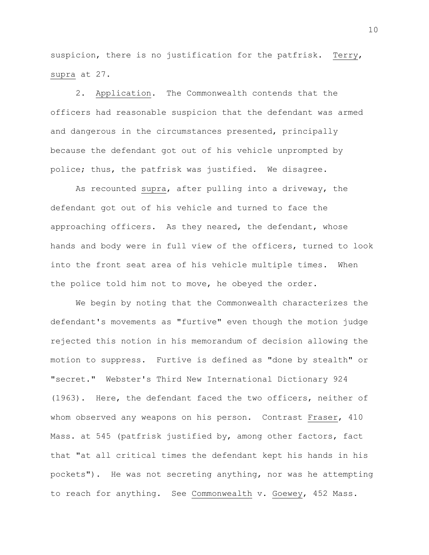suspicion, there is no justification for the patfrisk. Terry, supra at 27.

2. Application. The Commonwealth contends that the officers had reasonable suspicion that the defendant was armed and dangerous in the circumstances presented, principally because the defendant got out of his vehicle unprompted by police; thus, the patfrisk was justified. We disagree.

As recounted supra, after pulling into a driveway, the defendant got out of his vehicle and turned to face the approaching officers. As they neared, the defendant, whose hands and body were in full view of the officers, turned to look into the front seat area of his vehicle multiple times. When the police told him not to move, he obeyed the order.

We begin by noting that the Commonwealth characterizes the defendant's movements as "furtive" even though the motion judge rejected this notion in his memorandum of decision allowing the motion to suppress. Furtive is defined as "done by stealth" or "secret." Webster's Third New International Dictionary 924 (1963). Here, the defendant faced the two officers, neither of whom observed any weapons on his person. Contrast Fraser, 410 Mass. at 545 (patfrisk justified by, among other factors, fact that "at all critical times the defendant kept his hands in his pockets"). He was not secreting anything, nor was he attempting to reach for anything. See Commonwealth v. Goewey, 452 Mass.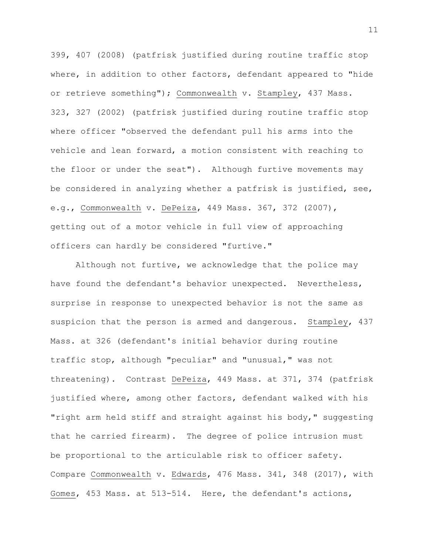399, 407 (2008) (patfrisk justified during routine traffic stop where, in addition to other factors, defendant appeared to "hide or retrieve something"); Commonwealth v. Stampley, 437 Mass. 323, 327 (2002) (patfrisk justified during routine traffic stop where officer "observed the defendant pull his arms into the vehicle and lean forward, a motion consistent with reaching to the floor or under the seat"). Although furtive movements may be considered in analyzing whether a patfrisk is justified, see, e.g., Commonwealth v. DePeiza, 449 Mass. 367, 372 (2007), getting out of a motor vehicle in full view of approaching officers can hardly be considered "furtive."

Although not furtive, we acknowledge that the police may have found the defendant's behavior unexpected. Nevertheless, surprise in response to unexpected behavior is not the same as suspicion that the person is armed and dangerous. Stampley, 437 Mass. at 326 (defendant's initial behavior during routine traffic stop, although "peculiar" and "unusual," was not threatening). Contrast DePeiza, 449 Mass. at 371, 374 (patfrisk justified where, among other factors, defendant walked with his "right arm held stiff and straight against his body," suggesting that he carried firearm). The degree of police intrusion must be proportional to the articulable risk to officer safety. Compare Commonwealth v. Edwards, 476 Mass. 341, 348 (2017), with Gomes, 453 Mass. at 513-514. Here, the defendant's actions,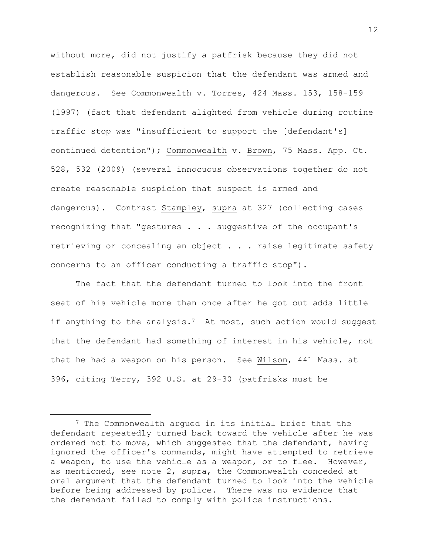without more, did not justify a patfrisk because they did not establish reasonable suspicion that the defendant was armed and dangerous. See Commonwealth v. Torres, 424 Mass. 153, 158-159 (1997) (fact that defendant alighted from vehicle during routine traffic stop was "insufficient to support the [defendant's] continued detention"); Commonwealth v. Brown, 75 Mass. App. Ct. 528, 532 (2009) (several innocuous observations together do not create reasonable suspicion that suspect is armed and dangerous). Contrast Stampley, supra at 327 (collecting cases recognizing that "gestures . . . suggestive of the occupant's retrieving or concealing an object . . . raise legitimate safety concerns to an officer conducting a traffic stop").

The fact that the defendant turned to look into the front seat of his vehicle more than once after he got out adds little if anything to the analysis.<sup>7</sup> At most, such action would suggest that the defendant had something of interest in his vehicle, not that he had a weapon on his person. See Wilson, 441 Mass. at 396, citing Terry, 392 U.S. at 29-30 (patfrisks must be

i<br>L

<sup>7</sup> The Commonwealth argued in its initial brief that the defendant repeatedly turned back toward the vehicle after he was ordered not to move, which suggested that the defendant, having ignored the officer's commands, might have attempted to retrieve a weapon, to use the vehicle as a weapon, or to flee. However, as mentioned, see note 2, supra, the Commonwealth conceded at oral argument that the defendant turned to look into the vehicle before being addressed by police. There was no evidence that the defendant failed to comply with police instructions.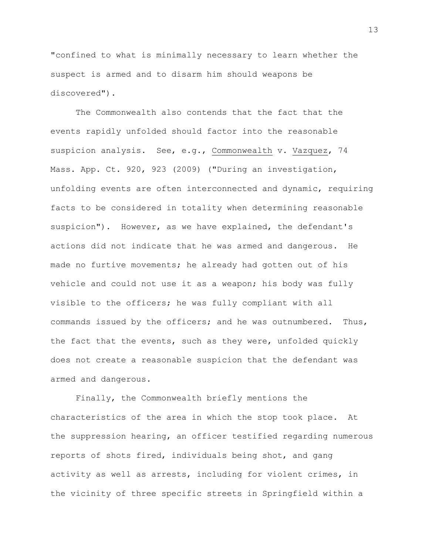"confined to what is minimally necessary to learn whether the suspect is armed and to disarm him should weapons be discovered").

The Commonwealth also contends that the fact that the events rapidly unfolded should factor into the reasonable suspicion analysis. See, e.g., Commonwealth v. Vazquez, 74 Mass. App. Ct. 920, 923 (2009) ("During an investigation, unfolding events are often interconnected and dynamic, requiring facts to be considered in totality when determining reasonable suspicion"). However, as we have explained, the defendant's actions did not indicate that he was armed and dangerous. He made no furtive movements; he already had gotten out of his vehicle and could not use it as a weapon; his body was fully visible to the officers; he was fully compliant with all commands issued by the officers; and he was outnumbered. Thus, the fact that the events, such as they were, unfolded quickly does not create a reasonable suspicion that the defendant was armed and dangerous.

Finally, the Commonwealth briefly mentions the characteristics of the area in which the stop took place. At the suppression hearing, an officer testified regarding numerous reports of shots fired, individuals being shot, and gang activity as well as arrests, including for violent crimes, in the vicinity of three specific streets in Springfield within a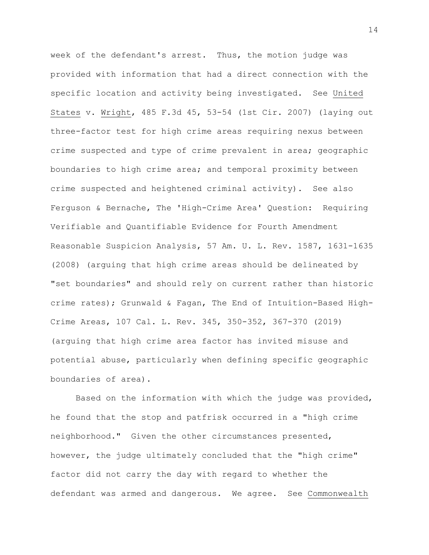week of the defendant's arrest. Thus, the motion judge was provided with information that had a direct connection with the specific location and activity being investigated. See United States v. Wright, 485 F.3d 45, 53-54 (1st Cir. 2007) (laying out three-factor test for high crime areas requiring nexus between crime suspected and type of crime prevalent in area; geographic boundaries to high crime area; and temporal proximity between crime suspected and heightened criminal activity). See also Ferguson & Bernache, The 'High-Crime Area' Question: Requiring Verifiable and Quantifiable Evidence for Fourth Amendment Reasonable Suspicion Analysis, 57 Am. U. L. Rev. 1587, 1631-1635 (2008) (arguing that high crime areas should be delineated by "set boundaries" and should rely on current rather than historic crime rates); Grunwald & Fagan, The End of Intuition-Based High-Crime Areas, 107 Cal. L. Rev. 345, 350-352, 367-370 (2019) (arguing that high crime area factor has invited misuse and potential abuse, particularly when defining specific geographic boundaries of area).

Based on the information with which the judge was provided, he found that the stop and patfrisk occurred in a "high crime neighborhood." Given the other circumstances presented, however, the judge ultimately concluded that the "high crime" factor did not carry the day with regard to whether the defendant was armed and dangerous. We agree. See Commonwealth